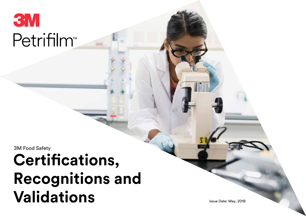

3M Food Safety

# **Certifications, Recognitions and Validations**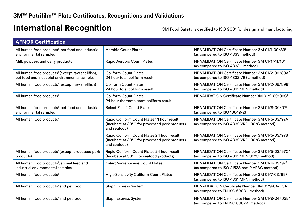# **International Recognition** 3M Food Safety is certified to ISO 9001 for design and manufacturing

| <b>AFNOR Certification</b>                                                                                    |                                                                                                              |                                                                                                              |
|---------------------------------------------------------------------------------------------------------------|--------------------------------------------------------------------------------------------------------------|--------------------------------------------------------------------------------------------------------------|
| All human food products <sup>1</sup> , pet food and industrial<br>environmental samples                       | <b>Aerobic Count Plates</b>                                                                                  | NF VALIDATION Certificate Number 3M 01/1-09/89 <sup>2</sup><br>(as compared to ISO 4833 method)              |
| Milk powders and dairy products                                                                               | <b>Rapid Aerobic Count Plates</b>                                                                            | NF VALIDATION Certificate Number 3M 01/17-11/16 <sup>2</sup><br>(as compared to ISO 4833-1 method)           |
| All human food products <sup>1</sup> (except raw shellfish),<br>pet food and industrial environmental samples | <b>Coliform Count Plates</b><br>24 hour total coliform result                                                | NF VALIDATION Certificate Number 3M 01/2-09/89A <sup>2</sup><br>(as compared to ISO 4832 VRBL method)        |
| All human food products <sup>1</sup> (except raw shellfish)                                                   | <b>Coliform Count Plates</b><br>24 hour total coliform result                                                | NF VALIDATION Certificate Number 3M 01/2-09/89B <sup>2</sup><br>(as compared to ISO 4831 MPN method)         |
| All human food products <sup>1</sup>                                                                          | <b>Coliform Count Plates</b><br>24 hour thermotolerant coliform result                                       | NF VALIDATION Certificate Number 3M 01/2-09/89C <sup>2</sup>                                                 |
| All human food products <sup>1</sup> , pet food and industrial<br>environmental samples                       | Select E. coli Count Plates                                                                                  | NF VALIDATION Certificate Number 3M 01/8-06/01 <sup>2</sup><br>(as compared to ISO 16649-2)                  |
| All human food products <sup>1</sup>                                                                          | Rapid Coliform Count Plates 14 hour result<br>(Incubate at 30°C for processed pork products)<br>and seafood) | NF VALIDATION Certificate Number 3M 01/5-03/97A <sup>2</sup><br>(as compared to ISO 4832 VRBL 30°C method)   |
|                                                                                                               | Rapid Coliform Count Plates 24 hour result<br>(Incubate at 30°C for processed pork products)<br>and seafood) | NF VALIDATION Certificate Number 3M 01/5-03/97B <sup>2</sup><br>(as compared to ISO 4832 VRBL 30°C method)   |
| All human food products <sup>1</sup> (except processed pork<br>products)                                      | Rapid Coliform Count Plates 24 hour result<br>(Incubate at 30°C for seafood products)                        | NF VALIDATION Certificate Number 3M 01/5-03/97C <sup>2</sup><br>(as compared to ISO 4831 MPN 30°C method)    |
| All human food products <sup>1</sup> , animal feed and<br>industrial environmental samples                    | <b>Enterobacteriaceae Count Plates</b>                                                                       | NF VALIDATION Certificate Number 3M 01/6-09/97 <sup>2</sup><br>(as compared to ISO 21528 part 2 VRBG method) |
| All human food products <sup>1</sup>                                                                          | <b>High-Sensitivity Coliform Count Plates</b>                                                                | NF VALIDATION Certificate Number 3M 01/7-03/99 <sup>2</sup><br>(as compared to ISO 4831 MPN method)          |
| All human food products <sup>1</sup> and pet food                                                             | <b>Staph Express System</b>                                                                                  | NF VALIDATION Certificate Number 3M 01/9-04/03A <sup>2</sup><br>(as compared to EN ISO 6888-1 method)        |
| All human food products <sup>1</sup> and pet food                                                             | <b>Staph Express System</b>                                                                                  | NF VALIDATION Certificate Number 3M 01/9-04/03B <sup>2</sup><br>(as compared to EN ISO 6882-2 method)        |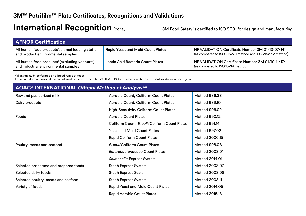### International Recognition (cont.) 3M Food Safety is certified to ISO 9001 for design and manufacturing

| <b>AFNOR Certification</b>                                                                        |                                          |                                                                                                                                          |
|---------------------------------------------------------------------------------------------------|------------------------------------------|------------------------------------------------------------------------------------------------------------------------------------------|
| All human food products <sup>1</sup> , animal feeding stuffs<br>and product environmental samples | <b>Rapid Yeast and Mold Count Plates</b> | NF VALIDATION Certificate Number 3M 01/13-07/14 <sup>2</sup><br>$\frac{1}{2}$ (as compared to ISO 21527-1 method and ISO 21527-2 method) |
| All human food products <sup>1</sup> (excluding yoghurts)<br>and industrial environmental samples | Lactic Acid Bacteria Count Plates        | NF VALIDATION Certificate Number 3M 01/19-11/17 <sup>2</sup><br>(as compared to ISO 15214 method)                                        |

 $<sup>1</sup>$  Validation study performed on a broad range of foods</sup>

<sup>2</sup> For more information about the end of validity please refer to NF VALIDATION Certificate available on http://nf-validation.afnor.org/en

| AOAC <sup>®</sup> INTERNATIONAL Official Method of Analysis <sup>SM</sup> |                                               |                |
|---------------------------------------------------------------------------|-----------------------------------------------|----------------|
| Raw and pasteurized milk                                                  | Aerobic Count, Coliform Count Plates          | Method 986.33  |
| Dairy products                                                            | Aerobic Count, Coliform Count Plates          | Method 989.10  |
|                                                                           | <b>High-Sensitivity Coliform Count Plates</b> | Method 996.02  |
| Foods                                                                     | <b>Aerobic Count Plates</b>                   | Method 990.12  |
|                                                                           | Coliform Count, E. coli/Coliform Count Plates | Method 991.14  |
|                                                                           | <b>Yeast and Mold Count Plates</b>            | Method 997.02  |
|                                                                           | <b>Rapid Coliform Count Plates</b>            | Method 2000.15 |
| Poultry, meats and seafood                                                | E. coli/Coliform Count Plates                 | Method 998.08  |
|                                                                           | <b>Enterobacteriaceae Count Plates</b>        | Method 2003.01 |
|                                                                           | Salmonella Express System                     | Method 2014.01 |
| Selected processed and prepared foods                                     | <b>Staph Express System</b>                   | Method 2003.07 |
| Selected dairy foods                                                      | <b>Staph Express System</b>                   | Method 2003.08 |
| Selected poultry, meats and seafood                                       | <b>Staph Express System</b>                   | Method 2003.11 |
| Variety of foods                                                          | <b>Rapid Yeast and Mold Count Plates</b>      | Method 2014.05 |
|                                                                           | <b>Rapid Aerobic Count Plates</b>             | Method 2015.13 |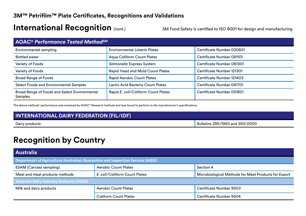#### **3M™ Petrifilm™ Plate Certificates, Recognitions and Validations**

#### International Recognition (cont.) 3M Food Safety is certified to ISO 9001 for design and manufacturing

| <b>AOAC® Performance Tested Method<sup>sM</sup></b>      |                                          |                           |
|----------------------------------------------------------|------------------------------------------|---------------------------|
| Environmental sampling                                   | <b>Environmental Listeria Plates</b>     | Certificate Number 030601 |
| <b>Bottled water</b>                                     | <b>Aqua Coliform Count Plates</b>        | Certificate Number 091101 |
| Variety of Foods                                         | Salmonella Express System                | Certificate Number 061301 |
| Variety of Foods                                         | <b>Rapid Yeast and Mold Count Plates</b> | Certificate Number 121301 |
| <b>Broad Range of Foods</b>                              | <b>Rapid Aerobic Count Plates</b>        | Certificate Number 121403 |
| <b>Select Foods and Environmental Samples</b>            | Lactic Acid Bacteria Count Plates        | Certificate Number 041701 |
| Broad Range of Foods and Select Environmental<br>Samples | Rapid E. coli/Coliform Count Plates      | Certificate Number 051801 |

The above methods' performance was reviewed by AOAC® Research Institute and was found to perform to the manufacturer's specifications.

| <b>INTERNATIONAL DAIRY FEDERATION (FIL/IDF)</b> |                                 |  |
|-------------------------------------------------|---------------------------------|--|
| Dairy products                                  | Bulletins 285/1993 and 350/2000 |  |

# **Recognition by Country**

| <b>Australia</b>                                                                     |                               |                                                      |
|--------------------------------------------------------------------------------------|-------------------------------|------------------------------------------------------|
| <b>Department of Agriculture/Australian Quarantine and Inspection Service (AQIS)</b> |                               |                                                      |
| <b>ESAM</b> (Carcass sampling)                                                       | <b>Aerobic Count Plates</b>   | Section 4                                            |
| Meat and meat products methods                                                       | E. coli/Coliform Count Plates | Microbiological Methods for Meat Products for Export |
| <b>Victorian Dairy Industry Authority (VDIA)</b>                                     |                               |                                                      |
| Milk and dairy products                                                              | <b>Aerobic Count Plates</b>   | Certificate Number 9503                              |
|                                                                                      | <b>Coliform Count Plates</b>  | Certificate Number 9504                              |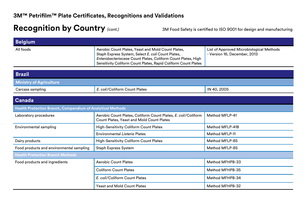| <b>Belgium</b>                                             |                                                                                                                                                                                                                                            |                                                                          |
|------------------------------------------------------------|--------------------------------------------------------------------------------------------------------------------------------------------------------------------------------------------------------------------------------------------|--------------------------------------------------------------------------|
| All foods                                                  | Aerobic Count Plates, Yeast and Mold Count Plates,<br>Staph Express System, Select E. coli Count Plates,<br>Enterobacteriaceae Count Plates, Coliform Count Plates, High<br>Sensitivity Coliform Count Plates, Rapid Coliform Count Plates | List of Approved Microbiological Methods<br>- Version 16, December, 2013 |
|                                                            |                                                                                                                                                                                                                                            |                                                                          |
| <b>Brazil</b>                                              |                                                                                                                                                                                                                                            |                                                                          |
| <b>Ministry of Agriculture</b>                             |                                                                                                                                                                                                                                            |                                                                          |
| Carcass sampling                                           | E. coli/Coliform Count Plates                                                                                                                                                                                                              | IN 40, 2005                                                              |
|                                                            |                                                                                                                                                                                                                                            |                                                                          |
| Canada                                                     |                                                                                                                                                                                                                                            |                                                                          |
| Health Protection Branch, Compendium of Analytical Methods |                                                                                                                                                                                                                                            |                                                                          |
| Laboratory procedures                                      | Aerobic Count Plates, Coliform Count Plates, E. coli/Coliform<br>Count Plates, Yeast and Mold Count Plates                                                                                                                                 | Method MFLP-41                                                           |
| <b>Environmental sampling</b>                              | <b>High-Sensitivity Coliform Count Plates</b>                                                                                                                                                                                              | Method MFLP-41B                                                          |
|                                                            | <b>Environmental Listeria Plates</b>                                                                                                                                                                                                       | <b>Method MFLP-11</b>                                                    |
| Dairy products                                             | <b>High-Sensitivity Coliform Count Plates</b>                                                                                                                                                                                              | Method MFLP-85                                                           |
| Food products and environmental sampling                   | <b>Staph Express System</b>                                                                                                                                                                                                                | Method MFLP-85                                                           |
| <b>Health Protection Branch Methods</b>                    |                                                                                                                                                                                                                                            |                                                                          |
| Food products and ingredients                              | <b>Aerobic Count Plates</b>                                                                                                                                                                                                                | Method MFHPB-33                                                          |
|                                                            | <b>Coliform Count Plates</b>                                                                                                                                                                                                               | Method MFHPB-35                                                          |
|                                                            | E. coli/Coliform Count Plates                                                                                                                                                                                                              | Method MFHPB-34                                                          |
|                                                            | <b>Yeast and Mold Count Plates</b>                                                                                                                                                                                                         | Method MFHPB-32                                                          |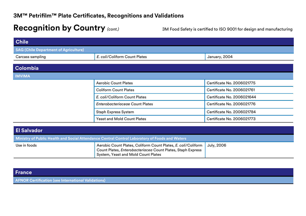| <b>Chile</b>                                 |                                        |                            |
|----------------------------------------------|----------------------------------------|----------------------------|
| <b>SAG (Chile Department of Agriculture)</b> |                                        |                            |
| Carcass sampling                             | E. coli/Coliform Count Plates          | January, 2004              |
| <b>Colombia</b>                              |                                        |                            |
| <b>IMVIMA</b>                                |                                        |                            |
|                                              | <b>Aerobic Count Plates</b>            | Certificate No. 2006021775 |
|                                              | <b>Coliform Count Plates</b>           | Certificate No. 2006021761 |
|                                              | E. coli/Coliform Count Plates          | Certificate No. 2006021644 |
|                                              | <b>Enterobacteriaceae Count Plates</b> | Certificate No. 2006021776 |
|                                              | <b>Staph Express System</b>            | Certificate No. 2006021784 |
|                                              | <b>Yeast and Mold Count Plates</b>     | Certificate No. 2006021773 |

| <b>El Salvador</b> |                                                                                                                                                                                  |  |
|--------------------|----------------------------------------------------------------------------------------------------------------------------------------------------------------------------------|--|
|                    | Ministry of Public Health and Social Attendance Central Control Laboratory of Foods and Waters                                                                                   |  |
| Use in foods       | Aerobic Count Plates, Coliform Count Plates, E. coli/Coliform   July, 2006<br>Count Plates, Enterobacteriacea Count Plates, Staph Express<br>System, Yeast and Mold Count Plates |  |

| France                                                     |
|------------------------------------------------------------|
| <b>AFNOR Certification (see International Validations)</b> |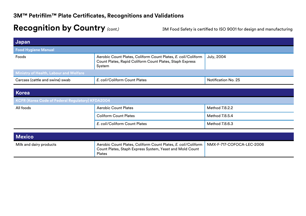| Japan                                            |                                                                                                                                     |                           |
|--------------------------------------------------|-------------------------------------------------------------------------------------------------------------------------------------|---------------------------|
| <b>Food Hygiene Manual</b>                       |                                                                                                                                     |                           |
| Foods                                            | Aerobic Count Plates, Coliform Count Plates, E. coli/Coliform<br>Count Plates, Rapid Coliform Count Plates, Staph Express<br>System | <b>July, 2004</b>         |
| Ministry of Health, Labour and Welfare           |                                                                                                                                     |                           |
| Carcass (cattle and swine) swab                  | E. coli/Coliform Count Plates                                                                                                       | Notification No. 25       |
|                                                  |                                                                                                                                     |                           |
| <b>Korea</b>                                     |                                                                                                                                     |                           |
| KCFR (Korea Code of Federal Regulatory) KFDA2004 |                                                                                                                                     |                           |
| All foods                                        | <b>Aerobic Count Plates</b>                                                                                                         | Method 7.8.2.2            |
|                                                  | <b>Coliform Count Plates</b>                                                                                                        | Method 7.8.5.4            |
|                                                  | E. coli/Coliform Count Plates                                                                                                       | Method 7.8.6.3            |
|                                                  |                                                                                                                                     |                           |
| <b>Mexico</b>                                    |                                                                                                                                     |                           |
| Milk and dairy products                          | Aerobic Count Plates, Coliform Count Plates, E. coli/Coliform<br>Count Plates, Staph Express System, Yeast and Mold Count<br>Plates | NMX-F-717-COFOCA-LEC-2006 |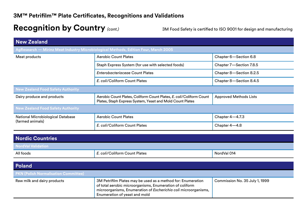| <b>New Zealand</b>                                                                  |                                                                                                                                  |                               |
|-------------------------------------------------------------------------------------|----------------------------------------------------------------------------------------------------------------------------------|-------------------------------|
| AgResearch - Mirinz Meat Industry Microbiological Methods, Edition Four, March 2005 |                                                                                                                                  |                               |
| Meat products                                                                       | <b>Aerobic Count Plates</b>                                                                                                      | Chapter 6-Section 6.8         |
|                                                                                     | Staph Express System (for use with selected foods)                                                                               | Chapter 7-Section 7.8.5       |
|                                                                                     | <b>Enterobacteriaceae Count Plates</b>                                                                                           | Chapter 8-Section 8.2.5       |
|                                                                                     | E. coli/Coliform Count Plates                                                                                                    | Chapter 8-Section 8.4.5       |
| <b>New Zealand Food Safety Authority</b>                                            |                                                                                                                                  |                               |
| Dairy produce and products                                                          | Aerobic Count Plates, Coliform Count Plates, E. coli/Coliform Count<br>Plates, Staph Express System, Yeast and Mold Count Plates | <b>Approved Methods Lists</b> |
| <b>New Zealand Food Safety Authority</b>                                            |                                                                                                                                  |                               |
| <b>National Microbiological Database</b><br>(farmed animals)                        | <b>Aerobic Count Plates</b>                                                                                                      | Chapter $4-4.7.3$             |
|                                                                                     | E. coli/Coliform Count Plates                                                                                                    | Chapter 4-4.8                 |

| <b>Nordic Countries</b>   |                               |             |
|---------------------------|-------------------------------|-------------|
| <b>NordVal Validation</b> |                               |             |
| All foods                 | E. coli/Coliform Count Plates | NordVal 014 |

| <b>Poland</b>                               |                                                                                                                                                                                                                              |                                |
|---------------------------------------------|------------------------------------------------------------------------------------------------------------------------------------------------------------------------------------------------------------------------------|--------------------------------|
| <b>PKN (Polish Normalisation Committee)</b> |                                                                                                                                                                                                                              |                                |
| Raw milk and dairy products                 | 3M Petrifilm Plates may be used as a method for: Enumeration<br>of total aerobic microorganisms, Enumeration of coliform<br>microorganisms, Enumeration of Escherichia coli microorganisms,<br>Enumeration of yeast and mold | Commission No. 35 July 1, 1999 |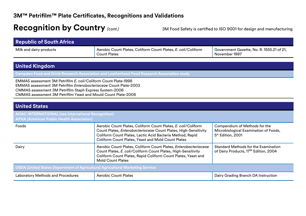| <b>Republic of South Africa</b>                                                                                                                                                                                                                                          |                                                                                                                                                                                                                                                     |                                                                                                         |
|--------------------------------------------------------------------------------------------------------------------------------------------------------------------------------------------------------------------------------------------------------------------------|-----------------------------------------------------------------------------------------------------------------------------------------------------------------------------------------------------------------------------------------------------|---------------------------------------------------------------------------------------------------------|
| Milk and dairy products                                                                                                                                                                                                                                                  | Aerobic Count Plates, Coliform Count Plates, E. coli/Coliform<br><b>Count Plates</b>                                                                                                                                                                | Government Gazette, No. R. 1555.21 of 21,<br>November 1997                                              |
|                                                                                                                                                                                                                                                                          |                                                                                                                                                                                                                                                     |                                                                                                         |
| <b>United Kingdom</b>                                                                                                                                                                                                                                                    |                                                                                                                                                                                                                                                     |                                                                                                         |
|                                                                                                                                                                                                                                                                          | Campden Food and Drink Research Association and Leatherhead Food Research Association study                                                                                                                                                         |                                                                                                         |
| EMMAS assessment 3M Petrifilm E. coli/Coliform Count Plate-1998<br><b>EMMAS assessment 3M Petrifilm Enterobacteriaceae Count Plate-2003</b><br>CMMAS assessment 3M Petrifilm Staph Express System-2006<br>CMMAS assessment 3M Petrifilm Yeast and Mould Count Plate-2006 |                                                                                                                                                                                                                                                     |                                                                                                         |
|                                                                                                                                                                                                                                                                          |                                                                                                                                                                                                                                                     |                                                                                                         |
| <b>United States</b>                                                                                                                                                                                                                                                     |                                                                                                                                                                                                                                                     |                                                                                                         |
| <b>AOAC INTERNATIONAL (see International Recognition)</b><br><b>APHA (American Public Health Association)</b>                                                                                                                                                            |                                                                                                                                                                                                                                                     |                                                                                                         |
| Foods                                                                                                                                                                                                                                                                    | Aerobic Count Plates, Coliform Count Plates, E. coli/Coliform<br>Count Plates, Enterobacteriaceae Count Plates, High-Sensitivity<br>Coliform Count Plates, Lactic Acid Bacteria Method, Rapid<br>Coliform Count Plates, Yeast and Mold Count Plates | Compendium of Methods for the<br>Microbiological Examination of Foods,<br>5 <sup>th</sup> Edition, 2001 |
| Dairy                                                                                                                                                                                                                                                                    | Aerobic Count Plates, Coliform Count Plates, Enterobacteriaceae<br>Count Plates, E. coli/Coliform Count Plates, High-Sensitivity<br>Coliform Count Plates, Rapid Coliform Count Plates, Yeast and<br><b>Mold Count Plates</b>                       | <b>Standard Methods for the Examination</b><br>of Dairy Products, 17th Edition, 2004                    |
| USDA (United States Department of Agriculture) Agricultural Marketing Service                                                                                                                                                                                            |                                                                                                                                                                                                                                                     |                                                                                                         |
| <b>Laboratory Methods and Procedures</b>                                                                                                                                                                                                                                 | <b>Aerobic Count Plates</b>                                                                                                                                                                                                                         | Dairy Grading Branch DA Instruction                                                                     |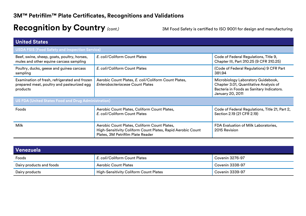| <b>United States</b>                                                                                    |                                                                                                                                                  |                                                                                                                                               |  |
|---------------------------------------------------------------------------------------------------------|--------------------------------------------------------------------------------------------------------------------------------------------------|-----------------------------------------------------------------------------------------------------------------------------------------------|--|
| <b>USDA FSIS (Food Safety and Inspection Service)</b>                                                   |                                                                                                                                                  |                                                                                                                                               |  |
| Beef, swine, sheep, goats, poultry, horses,<br>mules and other equine carcass sampling                  | E. coli/Coliform Count Plates                                                                                                                    | Code of Federal Regulations, Title 9,<br>Chapter III, Part 310.25 (9 CFR 310.25)                                                              |  |
| Poultry, ducks, geese and guinea carcass<br>sampling                                                    | E. coli/Coliform Count Plates                                                                                                                    | (Code of Federal Regulations) 9 CFR Part<br>381.94                                                                                            |  |
| Examination of fresh, refrigerated and frozen<br>prepared meat, poultry and pasteurized egg<br>products | Aerobic Count Plates, E. coli/Coliform Count Plates,<br>Enterobacteriaceae Count Plates                                                          | Microbiology Laboratory Guidebook,<br>Chapter 3.01, Quantitative Analysis of<br>Bacteria in Foods as Sanitary Indicators.<br>January 20, 2011 |  |
| <b>US FDA (United States Food and Drug Administration)</b>                                              |                                                                                                                                                  |                                                                                                                                               |  |
| Foods                                                                                                   | Aerobic Count Plates, Coliform Count Plates,<br>E. coli/Coliform Count Plates                                                                    | Code of Federal Regulations, Title 21, Part 2,<br>Section 2.19 (21 CFR 2.19)                                                                  |  |
| Milk                                                                                                    | Aerobic Count Plates, Coliform Count Plates,<br>High-Sensitivity Coliform Count Plates, Rapid Aerobic Count<br>Plates, 3M Petrifilm Plate Reader | FDA Evaluation of Milk Laboratories,<br>2015 Revision                                                                                         |  |

| Venezuela                |                                               |                        |
|--------------------------|-----------------------------------------------|------------------------|
| Foods                    | E. coli/Coliform Count Plates                 | Covenin 3276-97        |
| Dairy products and foods | <b>Aerobic Count Plates</b>                   | Covenin 3338-97        |
| Dairy products           | <b>High-Sensitivity Coliform Count Plates</b> | <b>Covenin 3339-97</b> |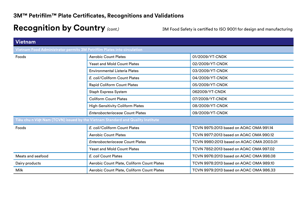| <b>Vietnam</b>                                                                  |                                            |                                          |  |
|---------------------------------------------------------------------------------|--------------------------------------------|------------------------------------------|--|
| Vietnam Food Administrator permits 3M Petrifilm Plates into circulation         |                                            |                                          |  |
| Foods                                                                           | <b>Aerobic Count Plates</b>                | 01/2009/YT-CNDK                          |  |
|                                                                                 | <b>Yeast and Mold Count Plates</b>         | 02/2009/YT-CNDK                          |  |
|                                                                                 | <b>Environmental Listeria Plates</b>       | 03/2009/YT-CNDK                          |  |
|                                                                                 | E. coli/Coliform Count Plates              | 04/2009/YT-CNDK                          |  |
|                                                                                 | <b>Rapid Coliform Count Plates</b>         | 05/2009/YT-CNDK                          |  |
|                                                                                 | <b>Staph Express System</b>                | 062009/YT-CNDK                           |  |
|                                                                                 | <b>Coliform Count Plates</b>               | 07/2009/YT-CNDK                          |  |
|                                                                                 | <b>High-Sensitivity Coliform Plates</b>    | 08/2009/YT-CNDK                          |  |
|                                                                                 | <b>Enterobacteriaceae Count Plates</b>     | 09/2009/YT-CNDK                          |  |
| Tiêu chu n Việt Nam (TCVN) issued by the Vietnam Standard and Quality Institute |                                            |                                          |  |
| Foods                                                                           | E. coli/Coliform Count Plates              | TCVN 9975:2013 based on AOAC OMA 991.14  |  |
|                                                                                 | <b>Aerobic Count Plates</b>                | TCVN 9977:2013 based on AOAC OMA 990.12  |  |
|                                                                                 | <b>Enterobacteriaceae Count Plates</b>     | TCVN 9980:2013 based on AOAC OMA 2003.01 |  |
|                                                                                 | <b>Yeast and Mold Count Plates</b>         | TCVN 7852:2013 based on AOAC OMA 997.02  |  |
| Meats and seafood                                                               | E. coli Count Plates                       | TCVN 9976:2013 based on AOAC OMA 998.08  |  |
| Dairy products                                                                  | Aerobic Count Plate, Coliform Count Plates | TCVN 9978:2013 based on AOAC OMA 989.10  |  |
| Milk                                                                            | Aerobic Count Plate, Coliform Count Plates | TCVN 9979:2013 based on AOAC OMA 986.33  |  |